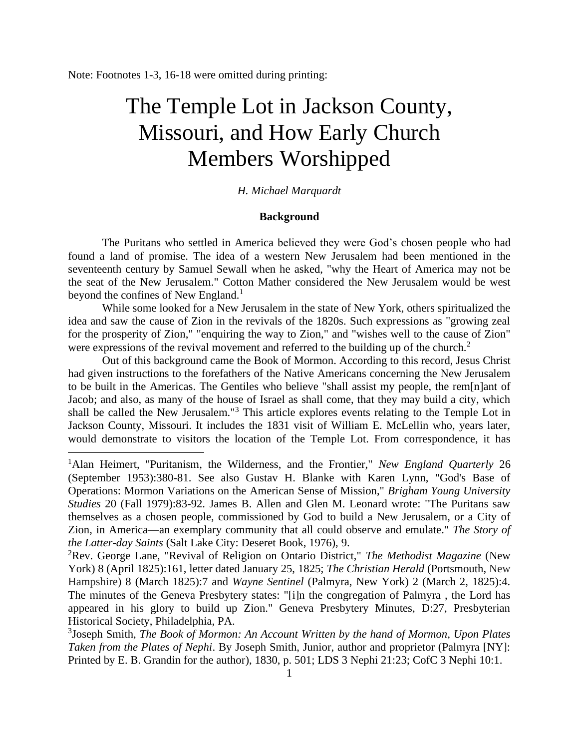Note: Footnotes 1-3, 16-18 were omitted during printing:

# The Temple Lot in Jackson County, Missouri, and How Early Church Members Worshipped

# *H. Michael Marquardt*

#### **Background**

The Puritans who settled in America believed they were God's chosen people who had found a land of promise. The idea of a western New Jerusalem had been mentioned in the seventeenth century by Samuel Sewall when he asked, "why the Heart of America may not be the seat of the New Jerusalem." Cotton Mather considered the New Jerusalem would be west beyond the confines of New England.<sup>1</sup>

While some looked for a New Jerusalem in the state of New York, others spiritualized the idea and saw the cause of Zion in the revivals of the 1820s. Such expressions as "growing zeal for the prosperity of Zion," "enquiring the way to Zion," and "wishes well to the cause of Zion" were expressions of the revival movement and referred to the building up of the church.<sup>2</sup>

Out of this background came the Book of Mormon. According to this record, Jesus Christ had given instructions to the forefathers of the Native Americans concerning the New Jerusalem to be built in the Americas. The Gentiles who believe "shall assist my people, the rem[n]ant of Jacob; and also, as many of the house of Israel as shall come, that they may build a city, which shall be called the New Jerusalem."<sup>3</sup> This article explores events relating to the Temple Lot in Jackson County, Missouri. It includes the 1831 visit of William E. McLellin who, years later, would demonstrate to visitors the location of the Temple Lot. From correspondence, it has

<sup>1</sup>Alan Heimert, "Puritanism, the Wilderness, and the Frontier," *New England Quarterly* 26 (September 1953):380-81. See also Gustav H. Blanke with Karen Lynn, "God's Base of Operations: Mormon Variations on the American Sense of Mission," *Brigham Young University Studies* 20 (Fall 1979):83-92. James B. Allen and Glen M. Leonard wrote: "The Puritans saw themselves as a chosen people, commissioned by God to build a New Jerusalem, or a City of Zion, in America—an exemplary community that all could observe and emulate." *The Story of the Latter-day Saints* (Salt Lake City: Deseret Book, 1976), 9.

<sup>2</sup>Rev. George Lane, "Revival of Religion on Ontario District," *The Methodist Magazine* (New York) 8 (April 1825):161, letter dated January 25, 1825; *The Christian Herald* (Portsmouth, New Hampshire) 8 (March 1825):7 and *Wayne Sentinel* (Palmyra, New York) 2 (March 2, 1825):4. The minutes of the Geneva Presbytery states: "[i]n the congregation of Palmyra , the Lord has appeared in his glory to build up Zion." Geneva Presbytery Minutes, D:27, Presbyterian Historical Society, Philadelphia, PA.

3 Joseph Smith, *The Book of Mormon: An Account Written by the hand of Mormon, Upon Plates Taken from the Plates of Nephi*. By Joseph Smith, Junior, author and proprietor (Palmyra [NY]: Printed by E. B. Grandin for the author), 1830, p. 501; LDS 3 Nephi 21:23; CofC 3 Nephi 10:1.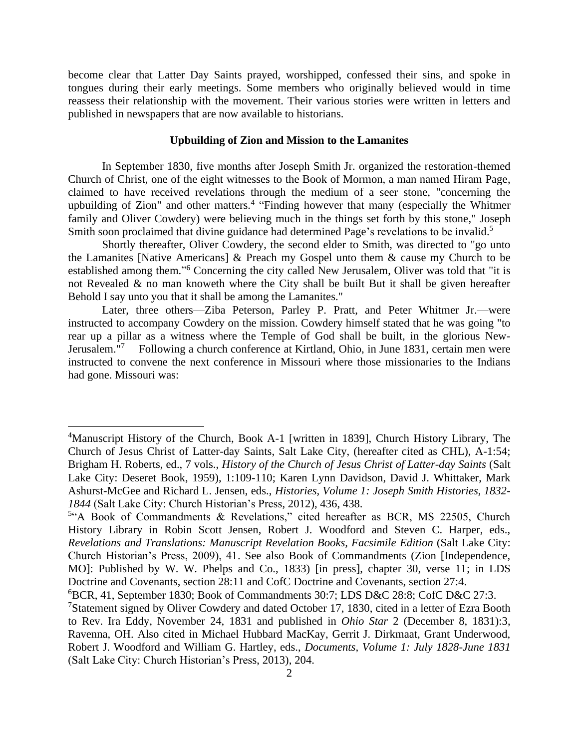become clear that Latter Day Saints prayed, worshipped, confessed their sins, and spoke in tongues during their early meetings. Some members who originally believed would in time reassess their relationship with the movement. Their various stories were written in letters and published in newspapers that are now available to historians.

### **Upbuilding of Zion and Mission to the Lamanites**

In September 1830, five months after Joseph Smith Jr. organized the restoration-themed Church of Christ, one of the eight witnesses to the Book of Mormon, a man named Hiram Page, claimed to have received revelations through the medium of a seer stone, "concerning the upbuilding of Zion" and other matters.<sup>4</sup> "Finding however that many (especially the Whitmer family and Oliver Cowdery) were believing much in the things set forth by this stone," Joseph Smith soon proclaimed that divine guidance had determined Page's revelations to be invalid.<sup>5</sup>

Shortly thereafter, Oliver Cowdery, the second elder to Smith, was directed to "go unto the Lamanites [Native Americans] & Preach my Gospel unto them & cause my Church to be established among them."<sup>6</sup> Concerning the city called New Jerusalem, Oliver was told that "it is not Revealed & no man knoweth where the City shall be built But it shall be given hereafter Behold I say unto you that it shall be among the Lamanites."

Later, three others—Ziba Peterson, Parley P. Pratt, and Peter Whitmer Jr.—were instructed to accompany Cowdery on the mission. Cowdery himself stated that he was going "to rear up a pillar as a witness where the Temple of God shall be built, in the glorious New-Jerusalem."<sup>7</sup> Following a church conference at Kirtland, Ohio, in June 1831, certain men were instructed to convene the next conference in Missouri where those missionaries to the Indians had gone. Missouri was:

<sup>4</sup>Manuscript History of the Church, Book A-1 [written in 1839], Church History Library, The Church of Jesus Christ of Latter-day Saints, Salt Lake City, (hereafter cited as CHL), A-1:54; Brigham H. Roberts, ed., 7 vols., *History of the Church of Jesus Christ of Latter-day Saints* (Salt Lake City: Deseret Book, 1959), 1:109-110; Karen Lynn Davidson, David J. Whittaker, Mark Ashurst-McGee and Richard L. Jensen, eds., *Histories, Volume 1: Joseph Smith Histories, 1832- 1844* (Salt Lake City: Church Historian's Press, 2012), 436, 438.

<sup>5</sup> "A Book of Commandments & Revelations," cited hereafter as BCR, MS 22505, Church History Library in Robin Scott Jensen, Robert J. Woodford and Steven C. Harper, eds., *Revelations and Translations: Manuscript Revelation Books, Facsimile Edition* (Salt Lake City: Church Historian's Press, 2009), 41. See also Book of Commandments (Zion [Independence, MO]: Published by W. W. Phelps and Co., 1833) [in press], chapter 30, verse 11; in LDS Doctrine and Covenants, section 28:11 and CofC Doctrine and Covenants, section 27:4.

<sup>6</sup>BCR, 41, September 1830; Book of Commandments 30:7; LDS D&C 28:8; CofC D&C 27:3.

<sup>&</sup>lt;sup>7</sup>Statement signed by Oliver Cowdery and dated October 17, 1830, cited in a letter of Ezra Booth to Rev. Ira Eddy, November 24, 1831 and published in *Ohio Star* 2 (December 8, 1831):3, Ravenna, OH. Also cited in Michael Hubbard MacKay, Gerrit J. Dirkmaat, Grant Underwood, Robert J. Woodford and William G. Hartley, eds., *Documents, Volume 1: July 1828-June 1831* (Salt Lake City: Church Historian's Press, 2013), 204.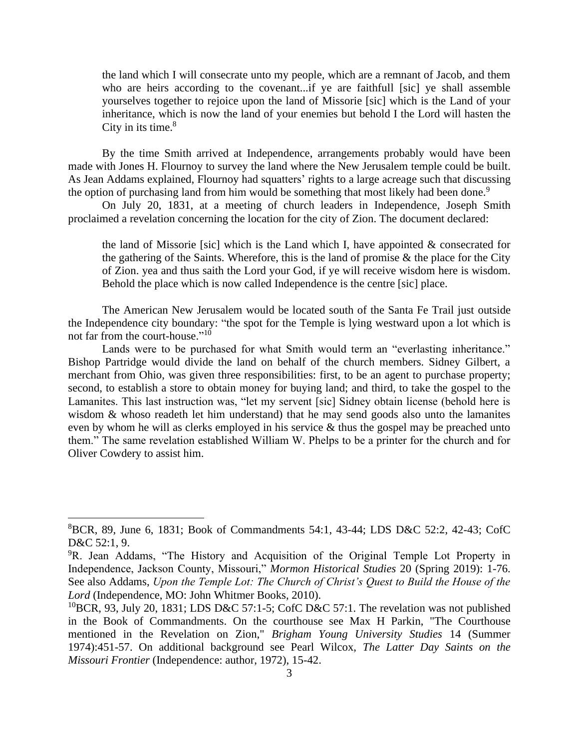the land which I will consecrate unto my people, which are a remnant of Jacob, and them who are heirs according to the covenant...if ye are faithfull [sic] ye shall assemble yourselves together to rejoice upon the land of Missorie [sic] which is the Land of your inheritance, which is now the land of your enemies but behold I the Lord will hasten the City in its time. $8$ 

By the time Smith arrived at Independence, arrangements probably would have been made with Jones H. Flournoy to survey the land where the New Jerusalem temple could be built. As Jean Addams explained, Flournoy had squatters' rights to a large acreage such that discussing the option of purchasing land from him would be something that most likely had been done.<sup>9</sup>

On July 20, 1831, at a meeting of church leaders in Independence, Joseph Smith proclaimed a revelation concerning the location for the city of Zion. The document declared:

the land of Missorie [sic] which is the Land which I, have appointed  $\&$  consecrated for the gathering of the Saints. Wherefore, this is the land of promise & the place for the City of Zion. yea and thus saith the Lord your God, if ye will receive wisdom here is wisdom. Behold the place which is now called Independence is the centre [sic] place.

The American New Jerusalem would be located south of the Santa Fe Trail just outside the Independence city boundary: "the spot for the Temple is lying westward upon a lot which is not far from the court-house."<sup>10</sup>

Lands were to be purchased for what Smith would term an "everlasting inheritance." Bishop Partridge would divide the land on behalf of the church members. Sidney Gilbert, a merchant from Ohio, was given three responsibilities: first, to be an agent to purchase property; second, to establish a store to obtain money for buying land; and third, to take the gospel to the Lamanites. This last instruction was, "let my servent [sic] Sidney obtain license (behold here is wisdom & whoso readeth let him understand) that he may send goods also unto the lamanites even by whom he will as clerks employed in his service & thus the gospel may be preached unto them." The same revelation established William W. Phelps to be a printer for the church and for Oliver Cowdery to assist him.

 ${}^{8}$ BCR, 89, June 6, 1831; Book of Commandments 54:1, 43-44; LDS D&C 52:2, 42-43; CofC D&C 52:1, 9.

<sup>&</sup>lt;sup>9</sup>R. Jean Addams, "The History and Acquisition of the Original Temple Lot Property in Independence, Jackson County, Missouri," *Mormon Historical Studies* 20 (Spring 2019): 1-76. See also Addams, *Upon the Temple Lot: The Church of Christ's Quest to Build the House of the Lord* (Independence, MO: John Whitmer Books, 2010).

<sup>&</sup>lt;sup>10</sup>BCR, 93, July 20, 1831; LDS D&C 57:1-5; CofC D&C 57:1. The revelation was not published in the Book of Commandments. On the courthouse see Max H Parkin, "The Courthouse mentioned in the Revelation on Zion," *Brigham Young University Studies* 14 (Summer 1974):451-57. On additional background see Pearl Wilcox, *The Latter Day Saints on the Missouri Frontier* (Independence: author, 1972), 15-42.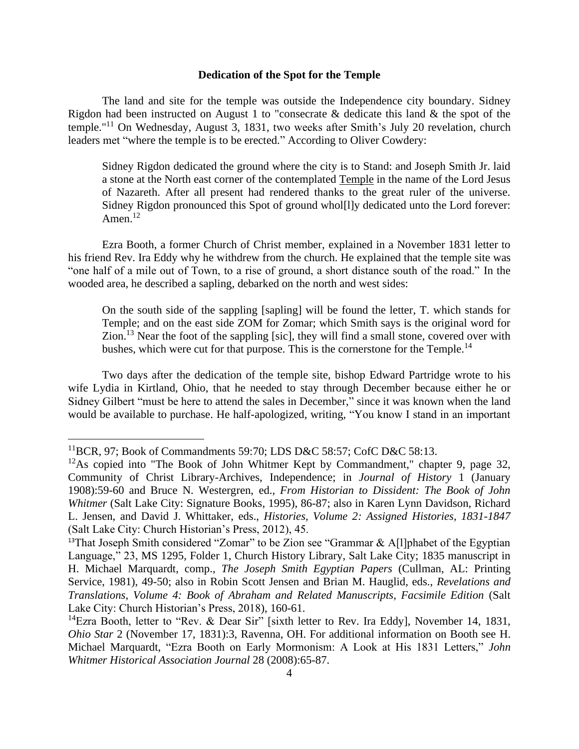### **Dedication of the Spot for the Temple**

The land and site for the temple was outside the Independence city boundary. Sidney Rigdon had been instructed on August 1 to "consecrate  $\&$  dedicate this land  $\&$  the spot of the temple."<sup>11</sup> On Wednesday, August 3, 1831, two weeks after Smith's July 20 revelation, church leaders met "where the temple is to be erected." According to Oliver Cowdery:

Sidney Rigdon dedicated the ground where the city is to Stand: and Joseph Smith Jr. laid a stone at the North east corner of the contemplated Temple in the name of the Lord Jesus of Nazareth. After all present had rendered thanks to the great ruler of the universe. Sidney Rigdon pronounced this Spot of ground whol[l]y dedicated unto the Lord forever: Amen $^{12}$ 

Ezra Booth, a former Church of Christ member, explained in a November 1831 letter to his friend Rev. Ira Eddy why he withdrew from the church. He explained that the temple site was "one half of a mile out of Town, to a rise of ground, a short distance south of the road." In the wooded area, he described a sapling, debarked on the north and west sides:

On the south side of the sappling [sapling] will be found the letter, T. which stands for Temple; and on the east side ZOM for Zomar; which Smith says is the original word for  $Z$ ion.<sup>13</sup> Near the foot of the sappling [sic], they will find a small stone, covered over with bushes, which were cut for that purpose. This is the cornerstone for the Temple.<sup>14</sup>

Two days after the dedication of the temple site, bishop Edward Partridge wrote to his wife Lydia in Kirtland, Ohio, that he needed to stay through December because either he or Sidney Gilbert "must be here to attend the sales in December," since it was known when the land would be available to purchase. He half-apologized, writing, "You know I stand in an important

<sup>11</sup>BCR, 97; Book of Commandments 59:70; LDS D&C 58:57; CofC D&C 58:13.

<sup>&</sup>lt;sup>12</sup>As copied into "The Book of John Whitmer Kept by Commandment," chapter 9, page 32, Community of Christ Library-Archives, Independence; in *Journal of History* 1 (January 1908):59-60 and Bruce N. Westergren, ed., *From Historian to Dissident: The Book of John Whitmer* (Salt Lake City: Signature Books, 1995), 86-87; also in Karen Lynn Davidson, Richard L. Jensen, and David J. Whittaker, eds., *Histories, Volume 2: Assigned Histories, 1831-1847* (Salt Lake City: Church Historian's Press, 2012), 45.

<sup>&</sup>lt;sup>13</sup>That Joseph Smith considered "Zomar" to be Zion see "Grammar & A[l]phabet of the Egyptian Language," 23, MS 1295, Folder 1, Church History Library, Salt Lake City; 1835 manuscript in H. Michael Marquardt, comp., *The Joseph Smith Egyptian Papers* (Cullman, AL: Printing Service, 1981), 49-50; also in Robin Scott Jensen and Brian M. Hauglid, eds., *Revelations and Translations, Volume 4: Book of Abraham and Related Manuscripts, Facsimile Edition* (Salt Lake City: Church Historian's Press, 2018), 160-61.

<sup>&</sup>lt;sup>14</sup>Ezra Booth, letter to "Rev. & Dear Sir" [sixth letter to Rev. Ira Eddy], November 14, 1831, *Ohio Star* 2 (November 17, 1831):3, Ravenna, OH. For additional information on Booth see H. Michael Marquardt, "Ezra Booth on Early Mormonism: A Look at His 1831 Letters," *John Whitmer Historical Association Journal* 28 (2008):65-87.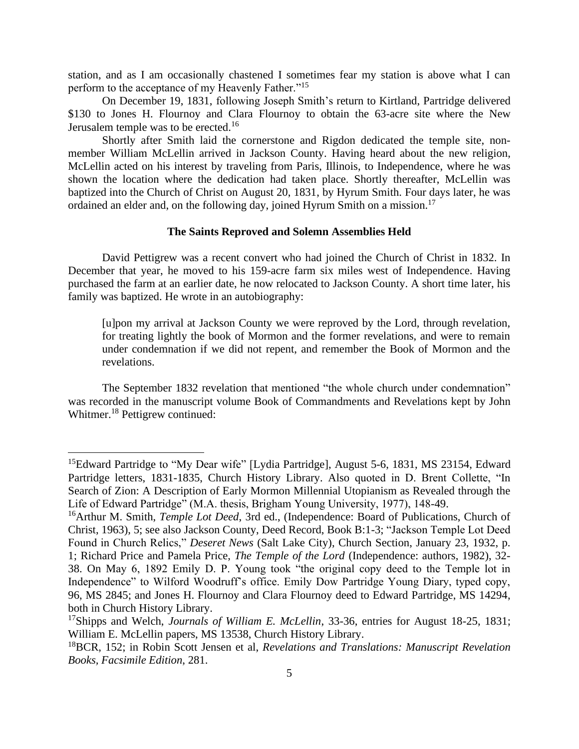station, and as I am occasionally chastened I sometimes fear my station is above what I can perform to the acceptance of my Heavenly Father."<sup>15</sup>

On December 19, 1831, following Joseph Smith's return to Kirtland, Partridge delivered \$130 to Jones H. Flournoy and Clara Flournoy to obtain the 63-acre site where the New Jerusalem temple was to be erected.<sup>16</sup>

Shortly after Smith laid the cornerstone and Rigdon dedicated the temple site, nonmember William McLellin arrived in Jackson County. Having heard about the new religion, McLellin acted on his interest by traveling from Paris, Illinois, to Independence, where he was shown the location where the dedication had taken place. Shortly thereafter, McLellin was baptized into the Church of Christ on August 20, 1831, by Hyrum Smith. Four days later, he was ordained an elder and, on the following day, joined Hyrum Smith on a mission.<sup>17</sup>

### **The Saints Reproved and Solemn Assemblies Held**

David Pettigrew was a recent convert who had joined the Church of Christ in 1832. In December that year, he moved to his 159-acre farm six miles west of Independence. Having purchased the farm at an earlier date, he now relocated to Jackson County. A short time later, his family was baptized. He wrote in an autobiography:

[u]pon my arrival at Jackson County we were reproved by the Lord, through revelation, for treating lightly the book of Mormon and the former revelations, and were to remain under condemnation if we did not repent, and remember the Book of Mormon and the revelations.

The September 1832 revelation that mentioned "the whole church under condemnation" was recorded in the manuscript volume Book of Commandments and Revelations kept by John Whitmer.<sup>18</sup> Pettigrew continued:

<sup>&</sup>lt;sup>15</sup>Edward Partridge to "My Dear wife" [Lydia Partridge], August 5-6, 1831, MS 23154, Edward Partridge letters, 1831-1835, Church History Library. Also quoted in D. Brent Collette, "In Search of Zion: A Description of Early Mormon Millennial Utopianism as Revealed through the Life of Edward Partridge" (M.A. thesis, Brigham Young University, 1977), 148-49.

<sup>16</sup>Arthur M. Smith, *Temple Lot Deed*, 3rd ed., (Independence: Board of Publications, Church of Christ, 1963), 5; see also Jackson County, Deed Record, Book B:1-3; "Jackson Temple Lot Deed Found in Church Relics," *Deseret News* (Salt Lake City), Church Section, January 23, 1932, p. 1; Richard Price and Pamela Price, *The Temple of the Lord* (Independence: authors, 1982), 32- 38. On May 6, 1892 Emily D. P. Young took "the original copy deed to the Temple lot in Independence" to Wilford Woodruff's office. Emily Dow Partridge Young Diary, typed copy, 96, MS 2845; and Jones H. Flournoy and Clara Flournoy deed to Edward Partridge, MS 14294, both in Church History Library.

<sup>17</sup>Shipps and Welch, *Journals of William E. McLellin*, 33-36, entries for August 18-25, 1831; William E. McLellin papers, MS 13538, Church History Library.

<sup>18</sup>BCR, 152; in Robin Scott Jensen et al, *Revelations and Translations: Manuscript Revelation Books, Facsimile Edition*, 281.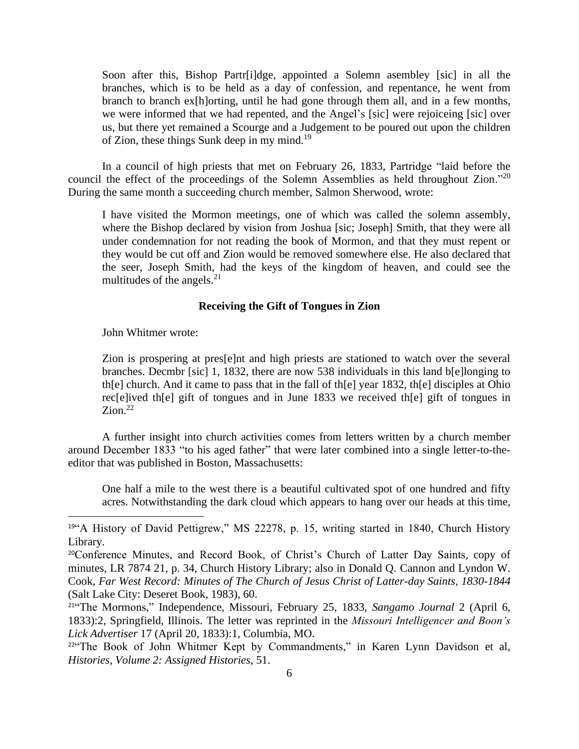Soon after this, Bishop Partr[i]dge, appointed a Solemn asembley [sic] in all the branches, which is to be held as a day of confession, and repentance, he went from branch to branch ex[h]orting, until he had gone through them all, and in a few months, we were informed that we had repented, and the Angel's [sic] were rejoiceing [sic] over us, but there yet remained a Scourge and a Judgement to be poured out upon the children of Zion, these things Sunk deep in my mind.<sup>19</sup>

In a council of high priests that met on February 26, 1833, Partridge "laid before the council the effect of the proceedings of the Solemn Assemblies as held throughout Zion."<sup>20</sup> During the same month a succeeding church member, Salmon Sherwood, wrote:

I have visited the Mormon meetings, one of which was called the solemn assembly, where the Bishop declared by vision from Joshua [sic; Joseph] Smith, that they were all under condemnation for not reading the book of Mormon, and that they must repent or they would be cut off and Zion would be removed somewhere else. He also declared that the seer, Joseph Smith, had the keys of the kingdom of heaven, and could see the multitudes of the angels.<sup>21</sup>

# **Receiving the Gift of Tongues in Zion**

John Whitmer wrote:

Zion is prospering at pres[e]nt and high priests are stationed to watch over the several branches. Decmbr [sic] 1, 1832, there are now 538 individuals in this land b[e]longing to th[e] church. And it came to pass that in the fall of th[e] year 1832, th[e] disciples at Ohio rec[e]ived th[e] gift of tongues and in June 1833 we received th[e] gift of tongues in  $Z$ <sub>i</sub>on.<sup>22</sup>

A further insight into church activities comes from letters written by a church member around December 1833 "to his aged father" that were later combined into a single letter-to-theeditor that was published in Boston, Massachusetts:

One half a mile to the west there is a beautiful cultivated spot of one hundred and fifty acres. Notwithstanding the dark cloud which appears to hang over our heads at this time,

<sup>19</sup>"A History of David Pettigrew," MS 22278, p. 15, writing started in 1840, Church History Library.

<sup>&</sup>lt;sup>20</sup>Conference Minutes, and Record Book, of Christ's Church of Latter Day Saints, copy of minutes, LR 7874 21, p. 34, Church History Library; also in Donald Q. Cannon and Lyndon W. Cook, *Far West Record: Minutes of The Church of Jesus Christ of Latter-day Saints, 1830-1844* (Salt Lake City: Deseret Book, 1983), 60.

<sup>21</sup>"The Mormons," Independence, Missouri, February 25, 1833, *Sangamo Journal* 2 (April 6, 1833):2, Springfield, Illinois. The letter was reprinted in the *Missouri Intelligencer and Boon's Lick Advertiser* 17 (April 20, 1833):1, Columbia, MO.

<sup>&</sup>lt;sup>22"</sup>The Book of John Whitmer Kept by Commandments," in Karen Lynn Davidson et al, *Histories, Volume 2: Assigned Histories*, 51.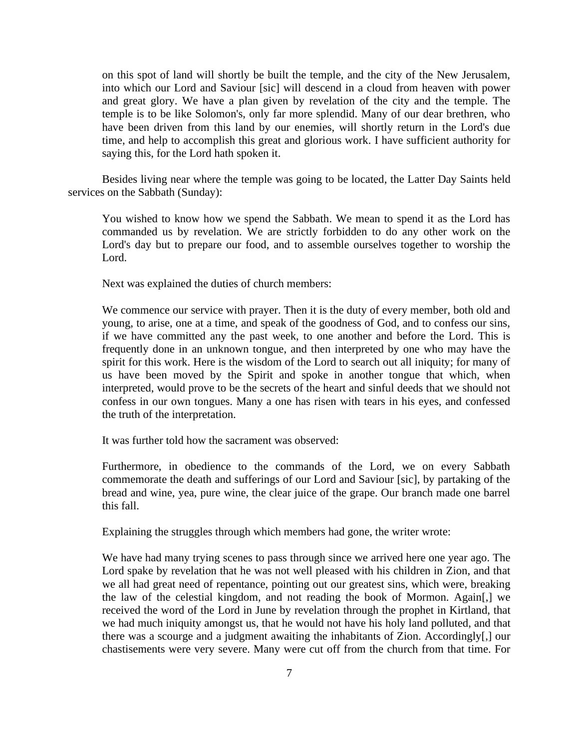on this spot of land will shortly be built the temple, and the city of the New Jerusalem, into which our Lord and Saviour [sic] will descend in a cloud from heaven with power and great glory. We have a plan given by revelation of the city and the temple. The temple is to be like Solomon's, only far more splendid. Many of our dear brethren, who have been driven from this land by our enemies, will shortly return in the Lord's due time, and help to accomplish this great and glorious work. I have sufficient authority for saying this, for the Lord hath spoken it.

Besides living near where the temple was going to be located, the Latter Day Saints held services on the Sabbath (Sunday):

You wished to know how we spend the Sabbath. We mean to spend it as the Lord has commanded us by revelation. We are strictly forbidden to do any other work on the Lord's day but to prepare our food, and to assemble ourselves together to worship the Lord.

Next was explained the duties of church members:

We commence our service with prayer. Then it is the duty of every member, both old and young, to arise, one at a time, and speak of the goodness of God, and to confess our sins, if we have committed any the past week, to one another and before the Lord. This is frequently done in an unknown tongue, and then interpreted by one who may have the spirit for this work. Here is the wisdom of the Lord to search out all iniquity; for many of us have been moved by the Spirit and spoke in another tongue that which, when interpreted, would prove to be the secrets of the heart and sinful deeds that we should not confess in our own tongues. Many a one has risen with tears in his eyes, and confessed the truth of the interpretation.

It was further told how the sacrament was observed:

Furthermore, in obedience to the commands of the Lord, we on every Sabbath commemorate the death and sufferings of our Lord and Saviour [sic], by partaking of the bread and wine, yea, pure wine, the clear juice of the grape. Our branch made one barrel this fall.

Explaining the struggles through which members had gone, the writer wrote:

We have had many trying scenes to pass through since we arrived here one year ago. The Lord spake by revelation that he was not well pleased with his children in Zion, and that we all had great need of repentance, pointing out our greatest sins, which were, breaking the law of the celestial kingdom, and not reading the book of Mormon. Again[,] we received the word of the Lord in June by revelation through the prophet in Kirtland, that we had much iniquity amongst us, that he would not have his holy land polluted, and that there was a scourge and a judgment awaiting the inhabitants of Zion. Accordingly[,] our chastisements were very severe. Many were cut off from the church from that time. For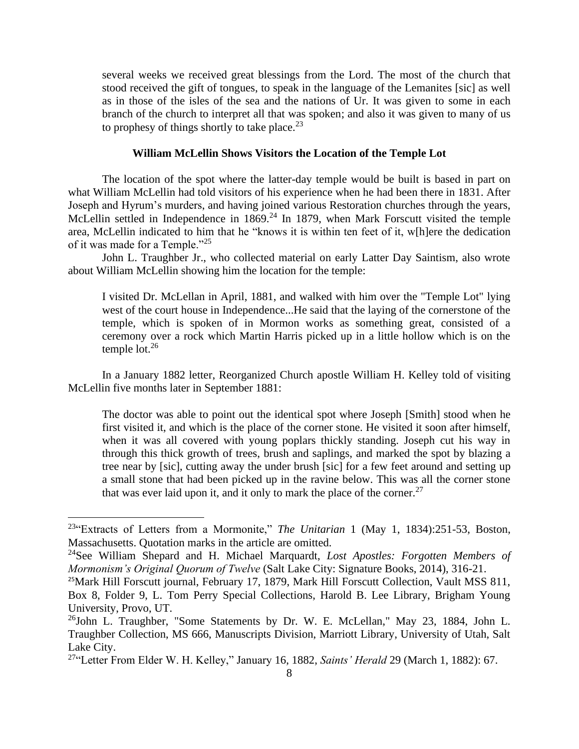several weeks we received great blessings from the Lord. The most of the church that stood received the gift of tongues, to speak in the language of the Lemanites [sic] as well as in those of the isles of the sea and the nations of Ur. It was given to some in each branch of the church to interpret all that was spoken; and also it was given to many of us to prophesy of things shortly to take place.<sup>23</sup>

## **William McLellin Shows Visitors the Location of the Temple Lot**

The location of the spot where the latter-day temple would be built is based in part on what William McLellin had told visitors of his experience when he had been there in 1831. After Joseph and Hyrum's murders, and having joined various Restoration churches through the years, McLellin settled in Independence in 1869.<sup>24</sup> In 1879, when Mark Forscutt visited the temple area, McLellin indicated to him that he "knows it is within ten feet of it, w[h]ere the dedication of it was made for a Temple."<sup>25</sup>

John L. Traughber Jr., who collected material on early Latter Day Saintism, also wrote about William McLellin showing him the location for the temple:

I visited Dr. McLellan in April, 1881, and walked with him over the "Temple Lot" lying west of the court house in Independence...He said that the laying of the cornerstone of the temple, which is spoken of in Mormon works as something great, consisted of a ceremony over a rock which Martin Harris picked up in a little hollow which is on the temple  $\frac{1}{26}$ 

In a January 1882 letter, Reorganized Church apostle William H. Kelley told of visiting McLellin five months later in September 1881:

The doctor was able to point out the identical spot where Joseph [Smith] stood when he first visited it, and which is the place of the corner stone. He visited it soon after himself, when it was all covered with young poplars thickly standing. Joseph cut his way in through this thick growth of trees, brush and saplings, and marked the spot by blazing a tree near by [sic], cutting away the under brush [sic] for a few feet around and setting up a small stone that had been picked up in the ravine below. This was all the corner stone that was ever laid upon it, and it only to mark the place of the corner.<sup>27</sup>

<sup>23</sup>"Extracts of Letters from a Mormonite," *The Unitarian* 1 (May 1, 1834):251-53, Boston, Massachusetts. Quotation marks in the article are omitted.

<sup>24</sup>See William Shepard and H. Michael Marquardt, *Lost Apostles: Forgotten Members of Mormonism's Original Quorum of Twelve* (Salt Lake City: Signature Books, 2014), 316-21.

<sup>&</sup>lt;sup>25</sup>Mark Hill Forscutt journal, February 17, 1879, Mark Hill Forscutt Collection, Vault MSS 811, Box 8, Folder 9, L. Tom Perry Special Collections, Harold B. Lee Library, Brigham Young University, Provo, UT.

<sup>&</sup>lt;sup>26</sup>John L. Traughber, "Some Statements by Dr. W. E. McLellan," May 23, 1884, John L. Traughber Collection, MS 666, Manuscripts Division, Marriott Library, University of Utah, Salt Lake City.

<sup>27</sup>"Letter From Elder W. H. Kelley," January 16, 1882, *Saints' Herald* 29 (March 1, 1882): 67.